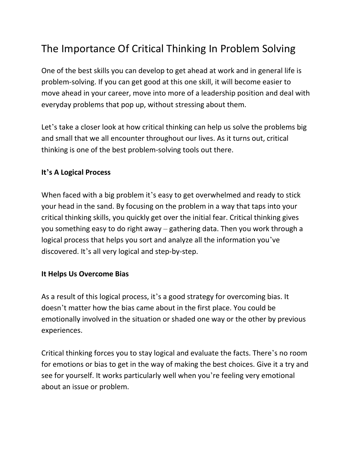## The Importance Of Critical Thinking In Problem Solving

One of the best skills you can develop to get ahead at work and in general life is problem-solving. If you can get good at this one skill, it will become easier to move ahead in your career, move into more of a leadership position and deal with everyday problems that pop up, without stressing about them.

Let's take a closer look at how critical thinking can help us solve the problems big and small that we all encounter throughout our lives. As it turns out, critical thinking is one of the best problem-solving tools out there.

## **It's A Logical Process**

When faced with a big problem it's easy to get overwhelmed and ready to stick your head in the sand. By focusing on the problem in a way that taps into your critical thinking skills, you quickly get over the initial fear. Critical thinking gives you something easy to do right away – gathering data. Then you work through a logical process that helps you sort and analyze all the information you've discovered. It's all very logical and step-by-step.

## **It Helps Us Overcome Bias**

As a result of this logical process, it's a good strategy for overcoming bias. It doesn't matter how the bias came about in the first place. You could be emotionally involved in the situation or shaded one way or the other by previous experiences.

Critical thinking forces you to stay logical and evaluate the facts. There's no room for emotions or bias to get in the way of making the best choices. Give it a try and see for yourself. It works particularly well when you're feeling very emotional about an issue or problem.